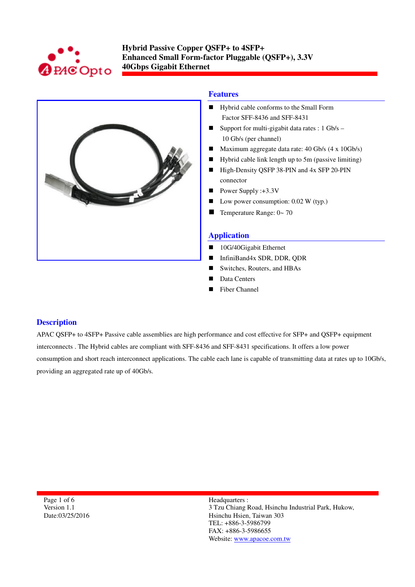



## **Features**

- **Hybrid cable conforms to the Small Form** Factor SFF-8436 and SFF-8431
- Support for multi-gigabit data rates :  $1 \text{Gb/s} -$ 10 Gb/s (per channel)
- Maximum aggregate data rate: 40 Gb/s (4 x 10Gb/s)
- Hybrid cable link length up to 5m (passive limiting)
- High-Density QSFP 38-PIN and 4x SFP 20-PIN connector
- Power Supply : $+3.3V$
- Low power consumption: 0.02 W (typ.)
- Temperature Range:  $0 \sim 70$

### **Application**

- 10G/40Gigabit Ethernet
- InfiniBand4x SDR, DDR, ODR
- Switches, Routers, and HBAs
- Data Centers
- Fiber Channel

#### **Description**

APAC QSFP+ to 4SFP+ Passive cable assemblies are high performance and cost effective for SFP+ and QSFP+ equipment interconnects . The Hybrid cables are compliant with SFF-8436 and SFF-8431 specifications. It offers a low power consumption and short reach interconnect applications. The cable each lane is capable of transmitting data at rates up to 10Gb/s, providing an aggregated rate up of 40Gb/s.

Page 1 of 6 Version 1.1 Date:03/25/2016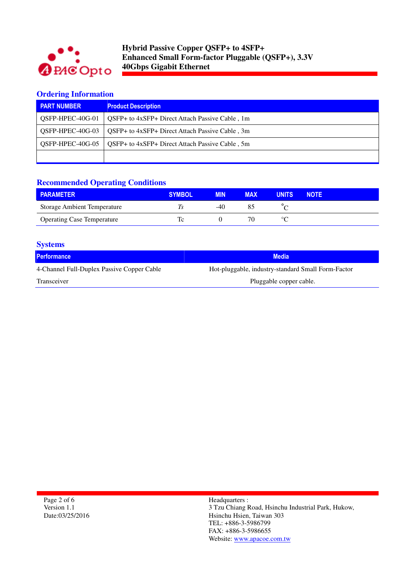

## **Ordering Information**

| <b>PART NUMBER</b> | <b>Product Description</b>                      |
|--------------------|-------------------------------------------------|
| OSFP-HPEC-40G-01   | QSFP+ to 4xSFP+ Direct Attach Passive Cable, 1m |
| OSFP-HPEC-40G-03   | QSFP+ to 4xSFP+ Direct Attach Passive Cable, 3m |
| OSFP-HPEC-40G-05   | QSFP+ to 4xSFP+ Direct Attach Passive Cable, 5m |
|                    |                                                 |

# **Recommended Operating Conditions**

| <b>PARAMETER</b>                   | <b>SYMBOL</b> | <b>MIN</b> | <b>MAX</b> | <b>UNITS</b> | <b>NOTE</b> |  |
|------------------------------------|---------------|------------|------------|--------------|-------------|--|
| <b>Storage Ambient Temperature</b> |               | -40        |            |              |             |  |
| <b>Operating Case Temperature</b>  |               |            |            | $\circ$      |             |  |

| <b>Systems</b>                             |                                                    |
|--------------------------------------------|----------------------------------------------------|
| <b>Performance</b>                         | <b>Media</b>                                       |
| 4-Channel Full-Duplex Passive Copper Cable | Hot-pluggable, industry-standard Small Form-Factor |
| Transceiver                                | Pluggable copper cable.                            |
|                                            |                                                    |

Page 2 of 6 Version 1.1 Date:03/25/2016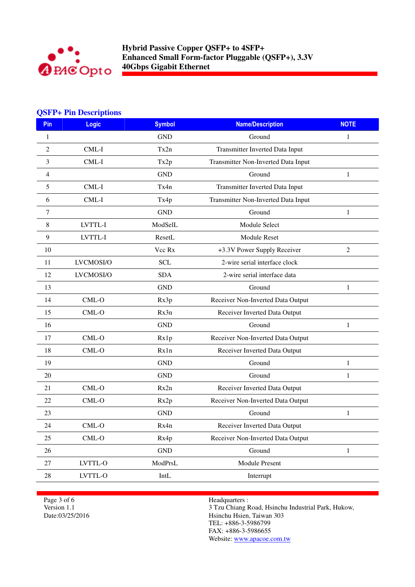

### **QSFP+ Pin Descriptions**

| <b>Pin</b> | <b>Logic</b> | <b>Symbol</b>               | <b>Name/Description</b>             | <b>NOTE</b>    |
|------------|--------------|-----------------------------|-------------------------------------|----------------|
| 1          |              | <b>GND</b>                  | Ground                              | 1              |
| 2          | CML-I        | Tx2n                        | Transmitter Inverted Data Input     |                |
| 3          | CML-I        | Tx2p                        | Transmitter Non-Inverted Data Input |                |
| 4          |              | <b>GND</b>                  | Ground                              | 1              |
| 5          | $CML-I$      | Tx4n                        | Transmitter Inverted Data Input     |                |
| 6          | $CML-I$      | Tx4p                        | Transmitter Non-Inverted Data Input |                |
| 7          |              | <b>GND</b>                  | Ground                              | 1              |
| 8          | LVTTL-I      | ModSelL                     | Module Select                       |                |
| 9          | LVTTL-I      | ResetL                      | Module Reset                        |                |
| 10         |              | Vcc Rx                      | +3.3V Power Supply Receiver         | $\overline{2}$ |
| 11         | LVCMOSI/O    | <b>SCL</b>                  | 2-wire serial interface clock       |                |
| 12         | LVCMOSI/O    | <b>SDA</b>                  | 2-wire serial interface data        |                |
| 13         |              | <b>GND</b>                  | Ground                              | 1              |
| 14         | CML-O        | Rx3p                        | Receiver Non-Inverted Data Output   |                |
| 15         | CML-O        | Rx3n                        | Receiver Inverted Data Output       |                |
| 16         |              | <b>GND</b>                  | Ground                              | 1              |
| 17         | CML-O        | Rx1p                        | Receiver Non-Inverted Data Output   |                |
| 18         | $CML-O$      | Rx1n                        | Receiver Inverted Data Output       |                |
| 19         |              | <b>GND</b>                  | Ground                              | 1              |
| 20         |              | <b>GND</b>                  | Ground                              | 1              |
| 21         | CML-O        | Rx2n                        | Receiver Inverted Data Output       |                |
| 22         | $CML-O$      | Rx2p                        | Receiver Non-Inverted Data Output   |                |
| 23         |              | <b>GND</b>                  | Ground                              | 1              |
| 24         | $CML-O$      | Rx4n                        | Receiver Inverted Data Output       |                |
| 25         | $CML-O$      | Rx4p                        | Receiver Non-Inverted Data Output   |                |
| 26         |              | <b>GND</b>                  | Ground                              | $\mathbf{1}$   |
| 27         | LVTTL-O      | ModPrsL                     | Module Present                      |                |
| 28         | LVTTL-O      | $\mathop{\rm Int}\nolimits$ | Interrupt                           |                |

Page 3 of 6 Version 1.1 Date:03/25/2016 Headquarters :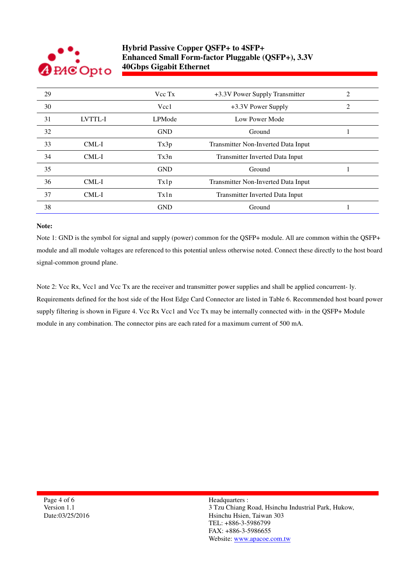

| 29 |                | Vcc Tx        | +3.3V Power Supply Transmitter      | 2 |
|----|----------------|---------------|-------------------------------------|---|
| 30 |                | Vcc1          | +3.3V Power Supply                  |   |
| 31 | <b>LVTTL-I</b> | <b>LPMode</b> | Low Power Mode                      |   |
| 32 |                | <b>GND</b>    | Ground                              |   |
| 33 | CML-I          | Tx3p          | Transmitter Non-Inverted Data Input |   |
| 34 | CML-I          | Tx3n          | Transmitter Inverted Data Input     |   |
| 35 |                | <b>GND</b>    | Ground                              |   |
| 36 | CML-I          | Tx1p          | Transmitter Non-Inverted Data Input |   |
| 37 | CML-I          | Tx1n          | Transmitter Inverted Data Input     |   |
| 38 |                | <b>GND</b>    | Ground                              |   |
|    |                |               |                                     |   |

#### **Note:**

Note 1: GND is the symbol for signal and supply (power) common for the QSFP+ module. All are common within the QSFP+ module and all module voltages are referenced to this potential unless otherwise noted. Connect these directly to the host board signal-common ground plane.

Note 2: Vcc Rx, Vcc1 and Vcc Tx are the receiver and transmitter power supplies and shall be applied concurrent- ly. Requirements defined for the host side of the Host Edge Card Connector are listed in Table 6. Recommended host board power supply filtering is shown in Figure 4. Vcc Rx Vcc1 and Vcc Tx may be internally connected with- in the QSFP+ Module module in any combination. The connector pins are each rated for a maximum current of 500 mA.

Page 4 of 6 Version 1.1 Date:03/25/2016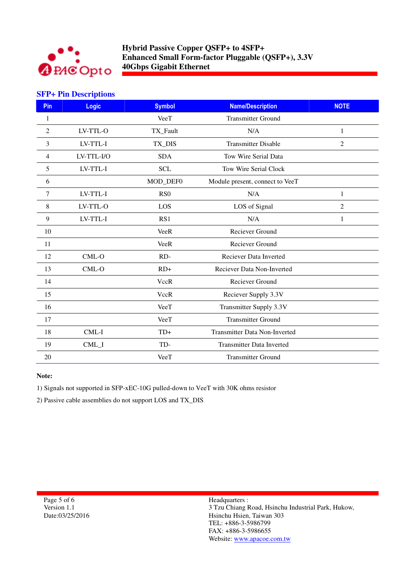

### **SFP+ Pin Descriptions**

| Pin | <b>Logic</b> | <b>Symbol</b>    | <b>Name/Description</b>          | <b>NOTE</b>    |
|-----|--------------|------------------|----------------------------------|----------------|
| 1   |              | <b>VeeT</b>      | <b>Transmitter Ground</b>        |                |
| 2   | LV-TTL-O     | TX_Fault         | N/A                              | 1              |
| 3   | LV-TTL-I     | TX_DIS           | <b>Transmitter Disable</b>       | $\overline{2}$ |
| 4   | LV-TTL-I/O   | <b>SDA</b>       | Tow Wire Serial Data             |                |
| 5   | LV-TTL-I     | <b>SCL</b>       | Tow Wire Serial Clock            |                |
| 6   |              | MOD_DEF0         | Module present, connect to VeeT  |                |
| 7   | LV-TTL-I     | R <sub>S</sub> O | N/A                              | 1              |
| 8   | LV-TTL-O     | LOS              | LOS of Signal                    | $\overline{2}$ |
| 9   | LV-TTL-I     | RS1              | N/A                              | $\mathbf{1}$   |
| 10  |              | <b>VeeR</b>      | Reciever Ground                  |                |
| 11  |              | <b>VeeR</b>      | <b>Reciever Ground</b>           |                |
| 12  | $CML-O$      | $RD-$            | Reciever Data Inverted           |                |
| 13  | CML-O        | $RD+$            | Reciever Data Non-Inverted       |                |
| 14  |              | <b>VccR</b>      | Reciever Ground                  |                |
| 15  |              | <b>VccR</b>      | Reciever Supply 3.3V             |                |
| 16  |              | VeeT             | Transmitter Supply 3.3V          |                |
| 17  |              | VeeT             | <b>Transmitter Ground</b>        |                |
| 18  | CML-I        | $TD+$            | Transmitter Data Non-Inverted    |                |
| 19  | CML_I        | TD-              | <b>Transmitter Data Inverted</b> |                |
| 20  |              | VeeT             | <b>Transmitter Ground</b>        |                |

#### **Note:**

1) Signals not supported in SFP-xEC-10G pulled-down to VeeT with 30K ohms resistor

2) Passive cable assemblies do not support LOS and TX\_DIS

Page 5 of 6 Version 1.1 Date:03/25/2016